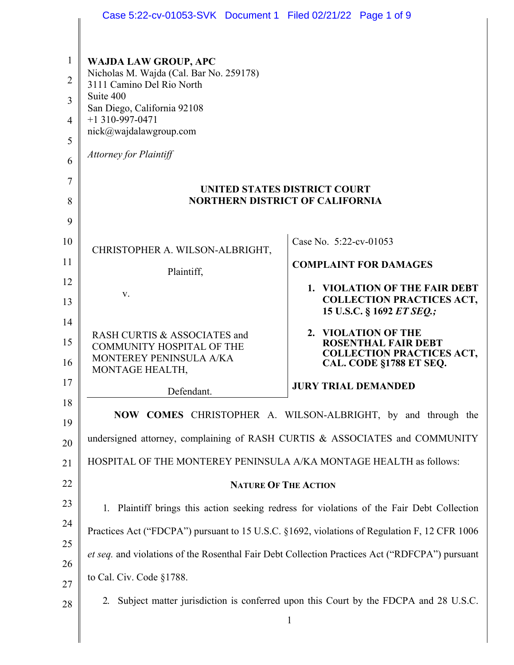|                                                            | Case 5:22-cv-01053-SVK Document 1 Filed 02/21/22 Page 1 of 9                                                                                                                                                                                                                                    |                                                                                                                                |
|------------------------------------------------------------|-------------------------------------------------------------------------------------------------------------------------------------------------------------------------------------------------------------------------------------------------------------------------------------------------|--------------------------------------------------------------------------------------------------------------------------------|
| $\mathbf{1}$<br>$\overline{2}$<br>3<br>$\overline{4}$<br>5 | <b>WAJDA LAW GROUP, APC</b><br>Nicholas M. Wajda (Cal. Bar No. 259178)<br>3111 Camino Del Rio North<br>Suite 400<br>San Diego, California 92108<br>$+1$ 310-997-0471<br>nick@wajdalawgroup.com<br><b>Attorney for Plaintiff</b>                                                                 |                                                                                                                                |
| 6<br>7<br>8                                                |                                                                                                                                                                                                                                                                                                 | UNITED STATES DISTRICT COURT<br><b>NORTHERN DISTRICT OF CALIFORNIA</b>                                                         |
| 9<br>10                                                    | CHRISTOPHER A. WILSON-ALBRIGHT,                                                                                                                                                                                                                                                                 | Case No. 5:22-cv-01053                                                                                                         |
| 11<br>12<br>13                                             | Plaintiff,<br>V.                                                                                                                                                                                                                                                                                | <b>COMPLAINT FOR DAMAGES</b><br>1. VIOLATION OF THE FAIR DEBT<br><b>COLLECTION PRACTICES ACT,</b><br>15 U.S.C. § 1692 ET SEQ.; |
| 14<br>15<br>16                                             | RASH CURTIS & ASSOCIATES and<br><b>COMMUNITY HOSPITAL OF THE</b><br>MONTEREY PENINSULA A/KA<br>MONTAGE HEALTH,                                                                                                                                                                                  | 2. VIOLATION OF THE<br><b>ROSENTHAL FAIR DEBT</b><br><b>COLLECTION PRACTICES ACT,</b><br>CAL. CODE §1788 ET SEQ.               |
| 17                                                         | Defendant.                                                                                                                                                                                                                                                                                      | <b>JURY TRIAL DEMANDED</b>                                                                                                     |
| 18<br>19<br>20<br>21                                       | undersigned attorney, complaining of RASH CURTIS & ASSOCIATES and COMMUNITY                                                                                                                                                                                                                     | NOW COMES CHRISTOPHER A. WILSON-ALBRIGHT, by and through the                                                                   |
| 22                                                         | HOSPITAL OF THE MONTEREY PENINSULA A/KA MONTAGE HEALTH as follows:<br><b>NATURE OF THE ACTION</b>                                                                                                                                                                                               |                                                                                                                                |
| 23<br>24                                                   | Plaintiff brings this action seeking redress for violations of the Fair Debt Collection<br>1.<br>Practices Act ("FDCPA") pursuant to 15 U.S.C. §1692, violations of Regulation F, 12 CFR 1006<br>et seq. and violations of the Rosenthal Fair Debt Collection Practices Act ("RDFCPA") pursuant |                                                                                                                                |
| 25                                                         |                                                                                                                                                                                                                                                                                                 |                                                                                                                                |
| 26<br>27                                                   | to Cal. Civ. Code §1788.                                                                                                                                                                                                                                                                        |                                                                                                                                |
| 28                                                         | 2.                                                                                                                                                                                                                                                                                              | Subject matter jurisdiction is conferred upon this Court by the FDCPA and 28 U.S.C.<br>$\mathbf{1}$                            |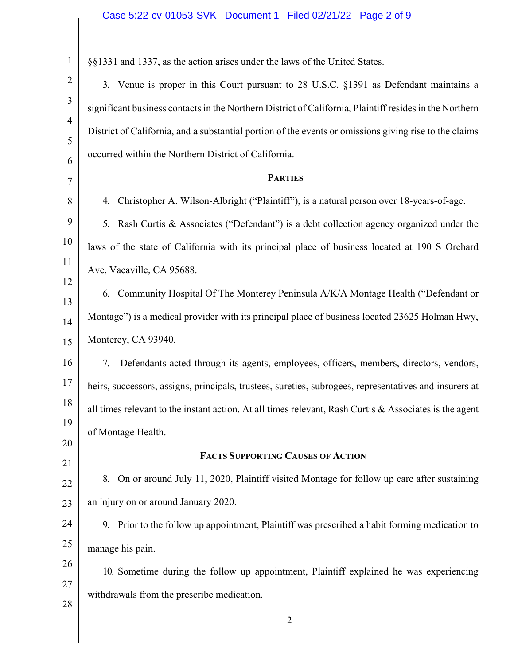| $\mathbf{1}$   | §§1331 and 1337, as the action arises under the laws of the United States.                              |  |
|----------------|---------------------------------------------------------------------------------------------------------|--|
| $\overline{2}$ | 3. Venue is proper in this Court pursuant to 28 U.S.C. §1391 as Defendant maintains a                   |  |
| 3              | significant business contacts in the Northern District of California, Plaintiff resides in the Northern |  |
| $\overline{4}$ | District of California, and a substantial portion of the events or omissions giving rise to the claims  |  |
| 5              | occurred within the Northern District of California.                                                    |  |
| 6<br>7         | <b>PARTIES</b>                                                                                          |  |
| 8              | Christopher A. Wilson-Albright ("Plaintiff"), is a natural person over 18-years-of-age.<br>4.           |  |
| 9              | Rash Curtis & Associates ("Defendant") is a debt collection agency organized under the<br>5.            |  |
| 10             | laws of the state of California with its principal place of business located at 190 S Orchard           |  |
| 11             | Ave, Vacaville, CA 95688.                                                                               |  |
| 12             |                                                                                                         |  |
| 13             | 6. Community Hospital Of The Monterey Peninsula A/K/A Montage Health ("Defendant or                     |  |
| 14             | Montage") is a medical provider with its principal place of business located 23625 Holman Hwy,          |  |
| 15             | Monterey, CA 93940.                                                                                     |  |
| 16             | 7.<br>Defendants acted through its agents, employees, officers, members, directors, vendors,            |  |
| 17             | heirs, successors, assigns, principals, trustees, sureties, subrogees, representatives and insurers at  |  |
| 18             | all times relevant to the instant action. At all times relevant, Rash Curtis & Associates is the agent  |  |
| 19             | of Montage Health.                                                                                      |  |
| 20<br>21       | <b>FACTS SUPPORTING CAUSES OF ACTION</b>                                                                |  |
| 22             | On or around July 11, 2020, Plaintiff visited Montage for follow up care after sustaining<br>8.         |  |
| 23             | an injury on or around January 2020.                                                                    |  |
| 24             | 9. Prior to the follow up appointment, Plaintiff was prescribed a habit forming medication to           |  |
| 25             | manage his pain.                                                                                        |  |
| 26             | 10. Sometime during the follow up appointment, Plaintiff explained he was experiencing                  |  |
| 27             | withdrawals from the prescribe medication.                                                              |  |
| 28             |                                                                                                         |  |
|                | 2                                                                                                       |  |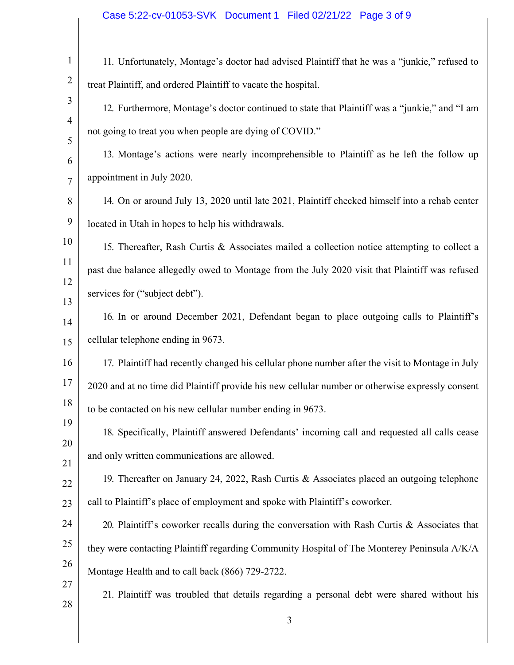| $\mathbf{1}$        | 11. Unfortunately, Montage's doctor had advised Plaintiff that he was a "junkie," refused to     |
|---------------------|--------------------------------------------------------------------------------------------------|
| $\overline{2}$      | treat Plaintiff, and ordered Plaintiff to vacate the hospital.                                   |
| 3                   | 12. Furthermore, Montage's doctor continued to state that Plaintiff was a "junkie," and "I am    |
| $\overline{4}$<br>5 | not going to treat you when people are dying of COVID."                                          |
| 6                   | 13. Montage's actions were nearly incomprehensible to Plaintiff as he left the follow up         |
| $\overline{7}$      | appointment in July 2020.                                                                        |
| 8                   | 14. On or around July 13, 2020 until late 2021, Plaintiff checked himself into a rehab center    |
| 9                   | located in Utah in hopes to help his withdrawals.                                                |
| 10                  | 15. Thereafter, Rash Curtis & Associates mailed a collection notice attempting to collect a      |
| 11                  | past due balance allegedly owed to Montage from the July 2020 visit that Plaintiff was refused   |
| 12<br>13            | services for ("subject debt").                                                                   |
| 14                  | 16. In or around December 2021, Defendant began to place outgoing calls to Plaintiff's           |
| 15                  | cellular telephone ending in 9673.                                                               |
| 16                  | 17. Plaintiff had recently changed his cellular phone number after the visit to Montage in July  |
| 17                  | 2020 and at no time did Plaintiff provide his new cellular number or otherwise expressly consent |
| 18                  | to be contacted on his new cellular number ending in 9673.                                       |
| 19                  | 18. Specifically, Plaintiff answered Defendants' incoming call and requested all calls cease     |
| 20<br>21            | and only written communications are allowed.                                                     |
| 22                  | 19. Thereafter on January 24, 2022, Rash Curtis & Associates placed an outgoing telephone        |
| 23                  | call to Plaintiff's place of employment and spoke with Plaintiff's coworker.                     |
| 24                  | 20. Plaintiff's coworker recalls during the conversation with Rash Curtis & Associates that      |
| 25                  | they were contacting Plaintiff regarding Community Hospital of The Monterey Peninsula A/K/A      |
| 26                  | Montage Health and to call back (866) 729-2722.                                                  |
| 27                  | 21. Plaintiff was troubled that details regarding a personal debt were shared without his        |
| 28                  |                                                                                                  |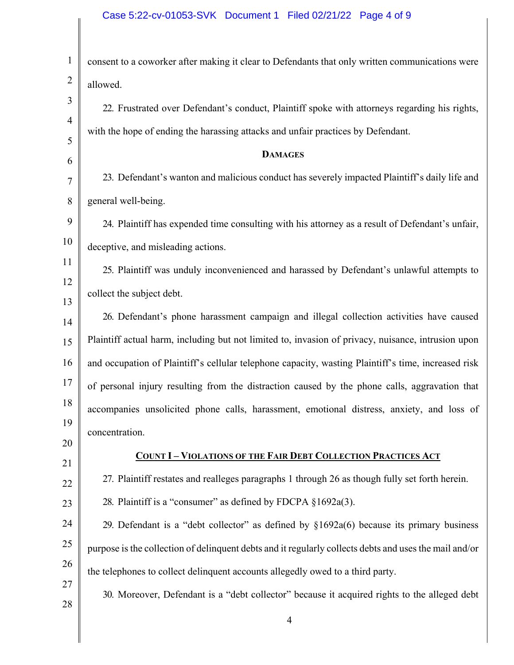| $\mathbf{1}$   | consent to a coworker after making it clear to Defendants that only written communications were        |
|----------------|--------------------------------------------------------------------------------------------------------|
| $\overline{2}$ | allowed.                                                                                               |
| 3              | 22. Frustrated over Defendant's conduct, Plaintiff spoke with attorneys regarding his rights,          |
| $\overline{4}$ | with the hope of ending the harassing attacks and unfair practices by Defendant.                       |
| 5<br>6         | <b>DAMAGES</b>                                                                                         |
| 7              | 23. Defendant's wanton and malicious conduct has severely impacted Plaintiff's daily life and          |
| 8              | general well-being.                                                                                    |
| 9              | 24. Plaintiff has expended time consulting with his attorney as a result of Defendant's unfair,        |
| 10             | deceptive, and misleading actions.                                                                     |
| 11             | 25. Plaintiff was unduly inconvenienced and harassed by Defendant's unlawful attempts to               |
| 12             | collect the subject debt.                                                                              |
| 13<br>14       | 26. Defendant's phone harassment campaign and illegal collection activities have caused                |
| 15             | Plaintiff actual harm, including but not limited to, invasion of privacy, nuisance, intrusion upon     |
| 16             | and occupation of Plaintiff's cellular telephone capacity, wasting Plaintiff's time, increased risk    |
| 17             | of personal injury resulting from the distraction caused by the phone calls, aggravation that          |
| 18             | accompanies unsolicited phone calls, harassment, emotional distress, anxiety, and loss of              |
| 19             | concentration.                                                                                         |
| 20             | <b>COUNT I - VIOLATIONS OF THE FAIR DEBT COLLECTION PRACTICES ACT</b>                                  |
| 21             | 27. Plaintiff restates and realleges paragraphs 1 through 26 as though fully set forth herein.         |
| 22<br>23       | 28. Plaintiff is a "consumer" as defined by FDCPA §1692a(3).                                           |
| 24             | 29. Defendant is a "debt collector" as defined by $$1692a(6)$ because its primary business             |
| 25             | purpose is the collection of delinquent debts and it regularly collects debts and uses the mail and/or |
| 26             | the telephones to collect delinquent accounts allegedly owed to a third party.                         |
| 27             | 30. Moreover, Defendant is a "debt collector" because it acquired rights to the alleged debt           |
| 28             |                                                                                                        |
|                |                                                                                                        |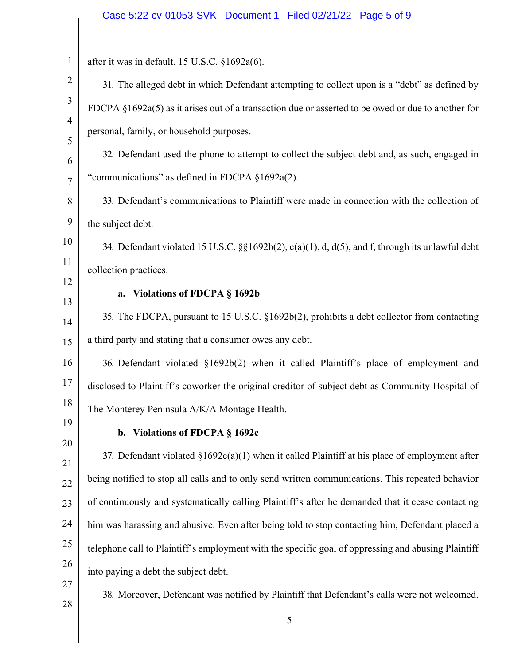## Case 5:22-cv-01053-SVK Document 1 Filed 02/21/22 Page 5 of 9

| $\mathbf{1}$   | after it was in default. 15 U.S.C. §1692a(6).                                                       |
|----------------|-----------------------------------------------------------------------------------------------------|
| $\overline{2}$ | 31. The alleged debt in which Defendant attempting to collect upon is a "debt" as defined by        |
| $\mathfrak{Z}$ | FDCPA §1692a(5) as it arises out of a transaction due or asserted to be owed or due to another for  |
| $\overline{4}$ | personal, family, or household purposes.                                                            |
| 5<br>6         | 32. Defendant used the phone to attempt to collect the subject debt and, as such, engaged in        |
| $\overline{7}$ | "communications" as defined in FDCPA §1692a(2).                                                     |
| 8              | 33. Defendant's communications to Plaintiff were made in connection with the collection of          |
| 9              | the subject debt.                                                                                   |
| 10             | 34. Defendant violated 15 U.S.C. $\S$ [1692b(2), c(a)(1), d, d(5), and f, through its unlawful debt |
| 11             | collection practices.                                                                               |
| 12             | a. Violations of FDCPA § 1692b                                                                      |
| 13             |                                                                                                     |
| 14             | 35. The FDCPA, pursuant to 15 U.S.C. §1692b(2), prohibits a debt collector from contacting          |
| 15             | a third party and stating that a consumer owes any debt.                                            |
| 16             | 36. Defendant violated §1692b(2) when it called Plaintiff's place of employment and                 |
| 17             | disclosed to Plaintiff's coworker the original creditor of subject debt as Community Hospital of    |
| 18             | The Monterey Peninsula A/K/A Montage Health.                                                        |
| 19             | b. Violations of FDCPA § 1692c                                                                      |
| 20             | 37. Defendant violated $\S1692c(a)(1)$ when it called Plaintiff at his place of employment after    |
| 21<br>22       | being notified to stop all calls and to only send written communications. This repeated behavior    |
| 23             | of continuously and systematically calling Plaintiff's after he demanded that it cease contacting   |
| 24             | him was harassing and abusive. Even after being told to stop contacting him, Defendant placed a     |
| 25             | telephone call to Plaintiff's employment with the specific goal of oppressing and abusing Plaintiff |
| 26             | into paying a debt the subject debt.                                                                |
| 27             | 38. Moreover, Defendant was notified by Plaintiff that Defendant's calls were not welcomed.         |
| 28             |                                                                                                     |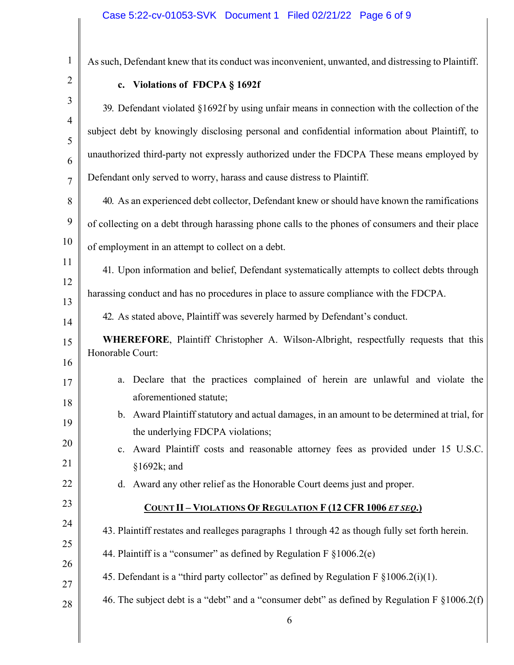| $\mathbf{1}$        | As such, Defendant knew that its conduct was inconvenient, unwanted, and distressing to Plaintiff.                               |  |
|---------------------|----------------------------------------------------------------------------------------------------------------------------------|--|
| $\overline{2}$      | c. Violations of FDCPA § 1692f                                                                                                   |  |
| 3                   | 39. Defendant violated §1692f by using unfair means in connection with the collection of the                                     |  |
| $\overline{4}$<br>5 | subject debt by knowingly disclosing personal and confidential information about Plaintiff, to                                   |  |
| 6                   | unauthorized third-party not expressly authorized under the FDCPA These means employed by                                        |  |
| $\overline{7}$      | Defendant only served to worry, harass and cause distress to Plaintiff.                                                          |  |
| 8                   | 40. As an experienced debt collector, Defendant knew or should have known the ramifications                                      |  |
| 9                   | of collecting on a debt through harassing phone calls to the phones of consumers and their place                                 |  |
| 10                  | of employment in an attempt to collect on a debt.                                                                                |  |
| 11                  | 41. Upon information and belief, Defendant systematically attempts to collect debts through                                      |  |
| 12                  | harassing conduct and has no procedures in place to assure compliance with the FDCPA.                                            |  |
| 13<br>14            | 42. As stated above, Plaintiff was severely harmed by Defendant's conduct.                                                       |  |
| 15                  | WHEREFORE, Plaintiff Christopher A. Wilson-Albright, respectfully requests that this                                             |  |
| 16                  | Honorable Court:                                                                                                                 |  |
| 17                  | Declare that the practices complained of herein are unlawful and violate the<br>a.                                               |  |
| 18                  | aforementioned statute;                                                                                                          |  |
| 19                  | b. Award Plaintiff statutory and actual damages, in an amount to be determined at trial, for<br>the underlying FDCPA violations; |  |
| 20                  | Award Plaintiff costs and reasonable attorney fees as provided under 15 U.S.C.<br>$\mathbf{c}$ .                                 |  |
| 21                  | §1692k; and                                                                                                                      |  |
| 22                  | Award any other relief as the Honorable Court deems just and proper.<br>d.                                                       |  |
| 23                  | <b>COUNT II - VIOLATIONS OF REGULATION F (12 CFR 1006 ET SEQ.)</b>                                                               |  |
| 24                  | 43. Plaintiff restates and realleges paragraphs 1 through 42 as though fully set forth herein.                                   |  |
| 25                  | 44. Plaintiff is a "consumer" as defined by Regulation F §1006.2(e)                                                              |  |
| 26<br>27            | 45. Defendant is a "third party collector" as defined by Regulation F $\S1006.2(i)(1)$ .                                         |  |
| 28                  | 46. The subject debt is a "debt" and a "consumer debt" as defined by Regulation F $\S1006.2(f)$                                  |  |
|                     | 6                                                                                                                                |  |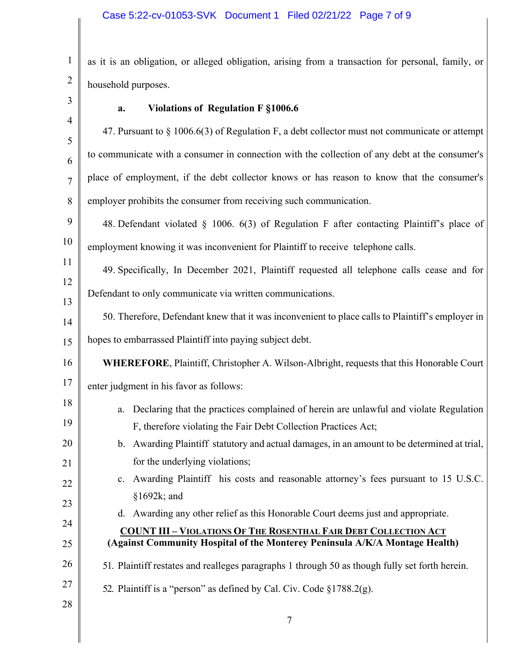1 2 as it is an obligation, or alleged obligation, arising from a transaction for personal, family, or household purposes.

## **a. Violations of Regulation F §1006.6**

47. Pursuant to § 1006.6(3) of Regulation F, a debt collector must not communicate or attempt to communicate with a consumer in connection with the collection of any debt at the consumer's place of employment, if the debt collector knows or has reason to know that the consumer's employer prohibits the consumer from receiving such communication.

9 10 48. Defendant violated § 1006. 6(3) of Regulation F after contacting Plaintiff's place of employment knowing it was inconvenient for Plaintiff to receive telephone calls.

12 13 49. Specifically, In December 2021, Plaintiff requested all telephone calls cease and for Defendant to only communicate via written communications.

14 15 50. Therefore, Defendant knew that it was inconvenient to place calls to Plaintiff's employer in hopes to embarrassed Plaintiff into paying subject debt.

## 16 **WHEREFORE**, Plaintiff, Christopher A. Wilson-Albright, requests that this Honorable Court

17 enter judgment in his favor as follows:

- a. Declaring that the practices complained of herein are unlawful and violate Regulation F, therefore violating the Fair Debt Collection Practices Act;
- b. Awarding Plaintiff statutory and actual damages, in an amount to be determined at trial, for the underlying violations;
- c. Awarding Plaintiff his costs and reasonable attorney's fees pursuant to 15 U.S.C. §1692k; and
	- d. Awarding any other relief as this Honorable Court deems just and appropriate.

## **COUNT III – VIOLATIONS OF THE ROSENTHAL FAIR DEBT COLLECTION ACT (Against Community Hospital of the Monterey Peninsula A/K/A Montage Health)**

- 26 51. Plaintiff restates and realleges paragraphs 1 through 50 as though fully set forth herein.
	- 52. Plaintiff is a "person" as defined by Cal. Civ. Code §1788.2(g).
- 28

27

18

19

20

21

22

23

24

25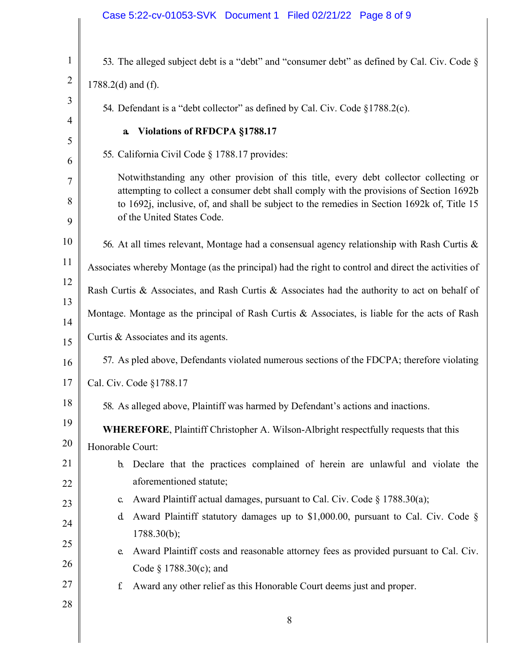|                     | Case 5:22-cv-01053-SVK Document 1 Filed 02/21/22 Page 8 of 9                                                                                                                                                                                                                                                                  |  |
|---------------------|-------------------------------------------------------------------------------------------------------------------------------------------------------------------------------------------------------------------------------------------------------------------------------------------------------------------------------|--|
|                     |                                                                                                                                                                                                                                                                                                                               |  |
| $\mathbf{1}$        | 53. The alleged subject debt is a "debt" and "consumer debt" as defined by Cal. Civ. Code $\S$                                                                                                                                                                                                                                |  |
| $\overline{2}$      | $1788.2(d)$ and (f).                                                                                                                                                                                                                                                                                                          |  |
| 3                   | 54. Defendant is a "debt collector" as defined by Cal. Civ. Code §1788.2(c).                                                                                                                                                                                                                                                  |  |
| $\overline{4}$<br>5 | Violations of RFDCPA §1788.17<br>$\mathbf{a}$                                                                                                                                                                                                                                                                                 |  |
| 6                   | 55. California Civil Code § 1788.17 provides:                                                                                                                                                                                                                                                                                 |  |
| 7                   | Notwithstanding any other provision of this title, every debt collector collecting or                                                                                                                                                                                                                                         |  |
| 8                   | attempting to collect a consumer debt shall comply with the provisions of Section 1692b<br>to 1692j, inclusive, of, and shall be subject to the remedies in Section 1692k of, Title 15                                                                                                                                        |  |
| 9                   | of the United States Code.                                                                                                                                                                                                                                                                                                    |  |
| 10                  | 56. At all times relevant, Montage had a consensual agency relationship with Rash Curtis &                                                                                                                                                                                                                                    |  |
| 11                  | Associates whereby Montage (as the principal) had the right to control and direct the activities of                                                                                                                                                                                                                           |  |
| 12                  | Rash Curtis & Associates, and Rash Curtis & Associates had the authority to act on behalf of                                                                                                                                                                                                                                  |  |
| 13<br>14            | Montage. Montage as the principal of Rash Curtis & Associates, is liable for the acts of Rash                                                                                                                                                                                                                                 |  |
| 15                  | Curtis & Associates and its agents.                                                                                                                                                                                                                                                                                           |  |
|                     | $111$ $\mathbb{R}$ $\mathbb{C}$ $1 \neq 1 \neq 1$ $\mathbb{C}$ $\mathbb{C}$ $\mathbb{C}$ $\mathbb{C}$ $\mathbb{C}$ $\mathbb{C}$ $\mathbb{C}$ $\mathbb{C}$ $\mathbb{C}$ $\mathbb{C}$ $\mathbb{C}$ $\mathbb{C}$ $\mathbb{C}$ $\mathbb{C}$ $\mathbb{C}$ $\mathbb{C}$ $\mathbb{C}$ $\mathbb{C}$ $\mathbb{C}$ $\mathbb{C}$ $\math$ |  |

- 16 57. As pled above, Defendants violated numerous sections of the FDCPA; therefore violating
- 17 Cal. Civ. Code §1788.17
- 18 58. As alleged above, Plaintiff was harmed by Defendant's actions and inactions.
- 19 20 **WHEREFORE**, Plaintiff Christopher A. Wilson-Albright respectfully requests that this Honorable Court:
- 21 22 b. Declare that the practices complained of herein are unlawful and violate the aforementioned statute;
	- c. Award Plaintiff actual damages, pursuant to Cal. Civ. Code § 1788.30(a);
	- d. Award Plaintiff statutory damages up to \$1,000.00, pursuant to Cal. Civ. Code § 1788.30(b);
- 25 26 e. Award Plaintiff costs and reasonable attorney fees as provided pursuant to Cal. Civ. Code § 1788.30(c); and
	- f. Award any other relief as this Honorable Court deems just and proper.
- 28

27

23

24